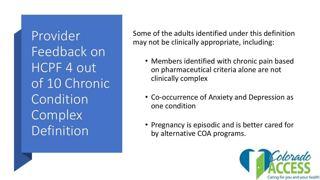Provider Feedback on HCPF 4 out of 10 Chronic Condition **Complex** Definition

Some of the adults identified under this definition may not be clinically appropriate, including:

- Members identified with chronic pain based on pharmaceutical criteria alone are not clinically complex
- Co-occurrence of Anxiety and Depression as one condition
- Pregnancy is episodic and is better cared for by alternative COA programs.

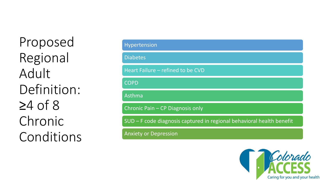Proposed Regional Adult Definition: ≥4 of 8 Chronic Conditions

| Hypertension                                                          |  |  |  |  |
|-----------------------------------------------------------------------|--|--|--|--|
| <b>Diabetes</b>                                                       |  |  |  |  |
| Heart Failure - refined to be CVD                                     |  |  |  |  |
| <b>COPD</b>                                                           |  |  |  |  |
| Asthma                                                                |  |  |  |  |
| Chronic Pain - CP Diagnosis only                                      |  |  |  |  |
| SUD – F code diagnosis captured in regional behavioral health benefit |  |  |  |  |
| <b>Anxiety or Depression</b>                                          |  |  |  |  |

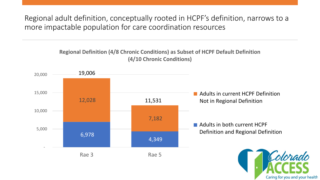Regional adult definition, conceptually rooted in HCPF's definition, narrows to a more impactable population for care coordination resources

## **Regional Definition (4/8 Chronic Conditions) as Subset of HCPF Default Definition (4/10 Chronic Conditions)**



Caring for you and your health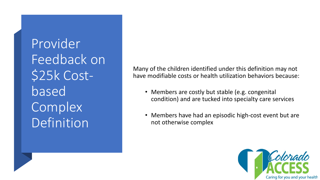Provider Feedback on \$25k Costbased **Complex** Definition

Many of the children identified under this definition may not have modifiable costs or health utilization behaviors because:

- Members are costly but stable (e.g. congenital condition) and are tucked into specialty care services
- Members have had an episodic high-cost event but are not otherwise complex

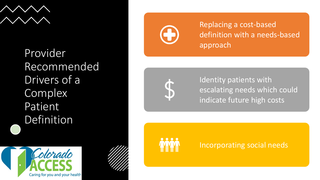

Provider Recommended Drivers of a Complex Patient Definition





Replacing a cost -based definition with a needs -based approach



Identity patients with escalating needs which could indicate future high costs



Incorporating social needs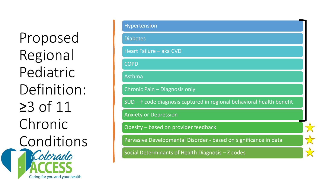Proposed Regional Pediatric Definition: ≥3 of 11 Chronic Conditions Colorado

Caring for you and your health

Hypertension Diabetes Heart Failure – aka CVD **COPD** Asthma Chronic Pain – Diagnosis only SUD – F code diagnosis captured in regional behavioral health benefit Anxiety or Depression Obesity – based on provider feedback Pervasive Developmental Disorder - based on significance in data Social Determinants of Health Diagnosis – Z codes

 $\frac{1}{\sqrt{2}}$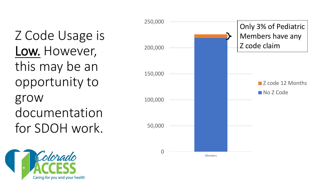Z Code Usage is Low. However, this may be an opportunity to grow documentation for SDOH work.



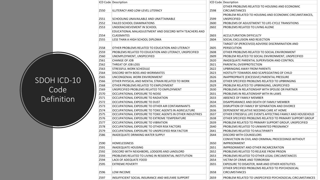|      | ICD Code Description                                      |      | ICD Code Description                                       |
|------|-----------------------------------------------------------|------|------------------------------------------------------------|
|      |                                                           |      | OTHER PROBLEMS RELATED TO HOUSING AND ECONOMIC             |
| Z550 | ILLITERACY AND LOW-LEVEL LITERACY                         | Z598 | CIRCUMSTANCES                                              |
|      |                                                           |      | PROBLEM RELATED TO HOUSING AND ECONOMIC CIRCUMSTANCES,     |
| Z551 | SCHOOLING UNAVAILABLE AND UNATTAINABLE                    | Z599 | <b>UNSPECIFIED</b>                                         |
| Z552 | <b>FAILED SCHOOL EXAMINATIONS</b>                         | Z600 | PROBLEMS OF ADJUSTMENT TO LIFE-CYCLE TRANSITIONS           |
| Z553 | UNDERACHIEVEMENT IN SCHOOL                                | Z602 | PROBLEMS RELATED TO LIVING ALONE                           |
|      | EDUCATIONAL MALADJUSTMENT AND DISCORD WITH TEACHERS AND   |      |                                                            |
| Z554 | <b>CLASSMATES</b>                                         | Z603 | <b>ACCULTURATION DIFFICULTY</b>                            |
| Z555 | LESS THAN A HIGH SCHOOL DIPLOMA                           | Z604 | SOCIAL EXCLUSION AND REJECTION                             |
|      |                                                           |      | TARGET OF (PERCEIVED) ADVERSE DISCRIMINATION AND           |
| Z558 | OTHER PROBLEMS RELATED TO EDUCATION AND LITERACY          | Z605 | PERSECUTION                                                |
| Z559 | PROBLEMS RELATED TO EDUCATION AND LITERACY, UNSPECIFIED   | Z608 | OTHER PROBLEMS RELATED TO SOCIAL ENVIRONMENT               |
| Z560 | UNEMPLOYMENT, UNSPECIFIED                                 | Z609 | PROBLEM RELATED TO SOCIAL ENVIRONMENT, UNSPECIFIED         |
| Z561 | <b>CHANGE OF JOB</b>                                      | Z620 | INADEQUATE PARENTAL SUPERVISION AND CONTROL                |
| Z562 | THREAT OF JOB LOSS                                        | Z621 | PARENTAL OVERPROTECTION                                    |
| Z563 | <b>STRESSFUL WORK SCHEDULE</b>                            | Z622 | UPBRINGING AWAY FROM PARENTS                               |
| Z564 | <b>DISCORD WITH BOSS AND WORKMATES</b>                    | Z623 | HOSTILITY TOWARDS AND SCAPEGOATING OF CHILD                |
| Z565 | UNCONGENIAL WORK ENVIRONMENT                              | Z626 | INAPPROPRIATE (EXCESSIVE) PARENTAL PRESSURE                |
| Z566 | OTHER PHYSICAL AND MENTAL STRAIN RELATED TO WORK          | Z628 | OTHER SPECIFIED PROBLEMS RELATED TO UPBRINGING             |
| Z568 | OTHER PROBLEMS RELATED TO EMPLOYMENT                      | Z629 | PROBLEM RELATED TO UPBRINGING, UNSPECIFIED                 |
| Z569 | UNSPECIFIED PROBLEMS RELATED TO EMPLOYMENT                | Z630 | PROBLEMS IN RELATIONSHIP WITH SPOUSE OR PARTNER            |
| Z570 | OCCUPATIONAL EXPOSURE TO NOISE                            | Z631 | PROBLEMS IN RELATIONSHIP WITH IN-LAWS                      |
| Z571 | OCCUPATIONAL EXPOSURE TO RADIATION                        | Z633 | ABSENCE OF FAMILY MEMBER                                   |
| Z572 | OCCUPATIONAL EXPOSURE TO DUST                             | Z634 | DISAPPEARANCE AND DEATH OF FAMILY MEMBER                   |
| Z573 | OCCUPATIONAL EXPOSURE TO OTHER AIR CONTAMINANTS           | Z635 | DISRUPTION OF FAMILY BY SEPARATION AND DIVORCE             |
| Z574 | OCCUPATIONAL EXPOSURE TO TOXIC AGENTS IN AGRICULTURE      | Z636 | DEPENDENT RELATIVE NEEDING CARE AT HOME                    |
| Z575 | OCCUPATIONAL EXPOSURE TO TOXIC AGENTS IN OTHER INDUSTRIES | Z637 | OTHER STRESSFUL LIFE EVENTS AFFECTING FAMILY AND HOUSEHOLD |
| Z576 | OCCUPATIONAL EXPOSURE TO EXTREME TEMPERATURE              | Z638 | OTHER SPECIFIED PROBLEMS RELATED TO PRIMARY SUPPORT GROUP  |
| Z577 | OCCUPATIONAL EXPOSURE TO VIBRATION                        | Z639 | PROBLEM RELATED TO PRIMARY SUPPORT GROUP, UNSPECIFIED      |
| Z578 | OCCUPATIONAL EXPOSURE TO OTHER RISK FACTORS               | Z640 | PROBLEMS RELATED TO UNWANTED PREGNANCY                     |
| Z579 | OCCUPATIONAL EXPOSURE TO UNSPECIFIED RISK FACTOR          | Z641 | PROBLEMS RELATED TO MULTIPARITY                            |
| Z586 | INADEQUATE DRINKING-WATER SUPPLY                          | Z644 | <b>DISCORD WITH COUNSELORS</b>                             |
|      |                                                           |      | CONVICTION IN CIVIL AND CRIMINAL PROCEEDINGS WITHOUT       |
| Z590 | <b>HOMELESSNESS</b>                                       | Z650 | <b>IMPRISONMENT</b>                                        |
| Z591 | <b>INADEQUATE HOUSING</b>                                 | Z651 | IMPRISONMENT AND OTHER INCARCERATION                       |
| Z592 | DISCORD WITH NEIGHBORS, LODGERS AND LANDLORD              | Z652 | PROBLEMS RELATED TO RELEASE FROM PRISON                    |
| Z593 | PROBLEMS RELATED TO LIVING IN RESIDENTIAL INSTITUTION     | Z653 | PROBLEMS RELATED TO OTHER LEGAL CIRCUMSTANCES              |
| Z594 | LACK OF ADEQUATE FOOD                                     | Z654 | VICTIM OF CRIME AND TERRORISM                              |
| Z595 | <b>EXTREME POVERTY</b>                                    | Z655 | EXPOSURE TO DISASTER, WAR AND OTHER HOSTILITIES            |
|      |                                                           |      | OTHER SPECIFIED PROBLEMS RELATED TO PSYCHOSOCIAL           |
| Z596 | LOW INCOME                                                | Z658 | <b>CIRCUMSTANCES</b>                                       |
| Z597 | INSUFFICIENT SOCIAL INSURANCE AND WELFARE SUPPORT         | Z659 | PROBLEM RELATED TO UNSPECIFIED PSYCHOSOCIAL CIRCUMSTANCES  |

SDOH ICD-10 Code Definition